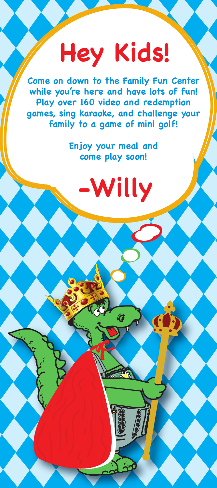## **Hey Kids!**

**Come on down to the Family Fun Center while you're here and have lots of fun! Play over 160 video and redemption games, sing karaoke, and challenge your family to a game of mini golf!**

> **Enjoy your meal and come play soon!**

> > **-Willy**

 $\hat{\bm{a}}$